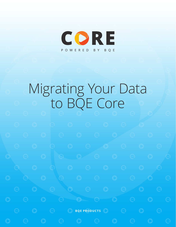

# Migrating Your Data to BQE Core

**BQE PRODUCTS**  $\bigcirc$  **B**  $\bigcirc$  **BQE PRODUCTS**  $\bigcirc$  **B**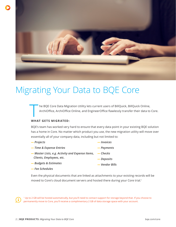

### Migrating Your Data to BQE Core

The BQE Core Data Migration Utility lets current users of BillQuick, BillQuick Online,<br>ArchiOffice, ArchiOffice Online, and EngineerOffice flawlessly transfer their data to ArchiOffice, ArchiOffice Online, and EngineerOffice flawlessly transfer their data to Core.

#### **WHAT GETS MIGRATED:**

BQE's team has worked very hard to ensure that every data point in your existing BQE solution has a home in Core. No matter which product you use, the new migration utility will move over essentially all of your company data, including but not limited to:

| — Projects                                       | — <i>Invoices</i> |
|--------------------------------------------------|-------------------|
| - Time & Expense Entries                         | - Payments        |
| - Master Lists, e.g. Activity and Expense Items, | — Checks          |
| Clients, Employees, etc.                         | — Deposits        |
| - Budgets & Estimates                            | - Vendor Bills    |
|                                                  |                   |

*— Fee Schedules*

Even the physical documents that are linked as attachments to your existing records will be moved to Core's cloud document servers and hosted there during your Core trial.<sup>1</sup>

<sup>1</sup> Up to 2 GB will be hosted automatically, but you'll need to contact support for storage beyond that. If you choose to permanently move to Core, you'll receive a complimentary 2 GB of data storage space with your account.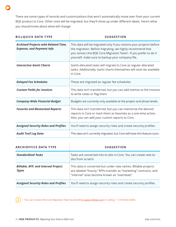There are some types of records and customizations that won't automatically move over from your current BQE product to Core. Other ones will be migrated, but they'll show up under different labels. Here's what you should know about what will change:

| <b>BILLQUICK DATA TYPE</b>                                                      | <b>SUGGESTION</b>                                                                                                                                                                                                                                                     |  |  |
|---------------------------------------------------------------------------------|-----------------------------------------------------------------------------------------------------------------------------------------------------------------------------------------------------------------------------------------------------------------------|--|--|
| <b>Archived Projects with Related Time,</b><br><b>Expense, and Payment Info</b> | This data will be migrated only if you restore your projects before<br>the migration. Before migrating, we highly recommend that<br>you contact the BQE Core Migration Team <sup>2</sup> . If you prefer to do it<br>yourself, make sure to backup your company file. |  |  |
| <b>Interactive Gantt Charts</b>                                                 | Gantt-allocated tasks will migrate to Core as regular allocated<br>tasks. Additionally, Gantt charts themselves will soon be available<br>in Core.                                                                                                                    |  |  |
| <b>Delayed Fee Schedules</b>                                                    | These are migrated as regular fee schedules.                                                                                                                                                                                                                          |  |  |
| <b>Custom Fields for Invoices</b>                                               | This data isn't transferred, but you can add memos to the invoices<br>to write notes or flag them.                                                                                                                                                                    |  |  |
| <b>Company-Wide Financial Budget</b>                                            | Budgets are currently only available at the project and phase levels.                                                                                                                                                                                                 |  |  |
| <b>Favorite and Memorized Reports</b>                                           | This data isn't transferred, but you can memorize the desired<br>reports in Core or mark them as favorites as a one-time action.<br>Also, you can add your custom reports to Core.                                                                                    |  |  |
| <b>Assigned Security Roles and Profiles</b>                                     | You'll need to assign security roles and create security profiles.                                                                                                                                                                                                    |  |  |
| <b>Audit Trail Log Data</b>                                                     | This data isn't currently migrated, but Core will have this feature soon.                                                                                                                                                                                             |  |  |

| ARCHIOFFICE DATA TYPE                                      | <b>SUGGESTION</b>                                                                                                                                                                 |
|------------------------------------------------------------|-----------------------------------------------------------------------------------------------------------------------------------------------------------------------------------|
| <b>Standardized Tasks</b>                                  | Tasks are converted into to-dos in Core. You can create new to-<br>dos from scratch.                                                                                              |
| <b>Billable, RFP, and Internal Project</b><br><b>Types</b> | This data is converted but under new names. Billable projects<br>are labeled "hourly," RFPs transfer as "marketing" contracts, and<br>"internal" ones become known as "overhead." |
| <b>Assigned Security Roles and Profiles</b>                | You'll need to assign security roles and create security profiles.                                                                                                                |

<sup>2</sup>You can contact the Core Migration Team by emailing support@bqe.com or calling + 1 (310) 602-4030.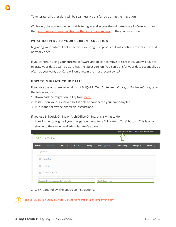To reiterate, all other data will be seamlessly transferred during the migration.

While only the account owner is able to log in and access the migrated data in Core, you can then add users and send invites to others in your company so they can use it too.

#### **WHAT HAPPENS TO YOUR CURRENT SOLUTION:**

Migrating your data will not affect your existing BQE product. It will continue to work just as it normally does.

If you continue using your current software and decide to move to Core later, you will have to migrate your data again so Core has the latest version. You can transfer your data essentially as often as you want, but Core will only retain the most recent sync.<sup>3</sup>

#### **HOW TO MIGRATE YOUR DATA:**

If you use the on-premise versions of BillQuick, Web Suite, ArchiOffice, or EngineerOffice, take the following steps:

- 1. Download the migration utility from here.
- 2. Install it on your PC/server so it is able to connect to your company file.
- 3. Run it and follow the onscreen instructions.

If you use BillQuick Online or ArchiOffice Online, this is what to do:

1. Look in the top-right of your navigation menu for a "Migrate to Core" button. This is only shown to the owner and administrator's account .

|                   | Migrate to Core Assist Support Blog Account Logout<br><b>BillQuick Online</b> |            |                |                   |            |                      |                  |                   |
|-------------------|-------------------------------------------------------------------------------|------------|----------------|-------------------|------------|----------------------|------------------|-------------------|
| <del>A</del> Home | $©$ Time                                                                      | \$ Expense | <b>圖 Lists</b> | $C$ Billing       | Management | $\lambda$ Accounting | $\equiv$ Reports | <b>C</b> Settings |
| Home              |                                                                               |            |                |                   |            |                      |                  |                   |
| E.                | Reminders                                                                     |            |                |                   |            |                      |                  |                   |
| <b>IS</b>         | Messages                                                                      |            |                |                   |            |                      |                  |                   |
| $+$               | <b>Memorized Reports</b>                                                      |            |                |                   |            |                      |                  |                   |
|                   | Submitted Time, Expense, Invoices, Bills                                      |            |                | Non-Billable Time |            |                      |                  |                   |

2. Click it and follow the onscreen instructions.

<sup>3</sup> The Core Migration Utility allows for up to three migrations per company in a day.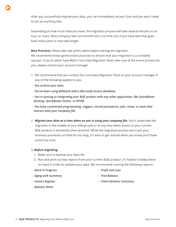After you successfully migrate your data, you can immediately access Core and you won't need to set up anything else.

Depending on how much data you have, the migration process will take several minutes to an hour or more. Most company files are transferred in no time, but if you have data that goes back many years it may take longer.

#### *Best Practices: Please take note of this advice before starting the migration.*

We recommend these general best practices to ensure that your migration is a complete success. If you'd rather have BQE's Core Data Migration Team take care of the entire process for you, please contact your account manager.

- 1. We recommend that you contact the Core Data Migration Team or your account manager if any of the following applies to you:
- *— You archive your data.*
- *— You've been using BillQuick with a Microsoft Access database.*
- *— You're syncing or integrating your BQE product with any other application, like QuickBooks Desktop, QuickBooks Online, or MYOB.*
- *— You have customized programming, triggers, stored procedures, jobs, views, or tools that interact with your company file.*
- 2. *Migrate your data at a time when no one is using your company file.* Don't undertake the migration in the middle of your billing cycle or at any time when access to your current BQE product is extremely time-sensitive. While the migration process won't put your business processes on hold for too long, it's wise to get started when you know you'll have some free time.

#### 3. *Before migrating,*

- 1. Make sure to backup your data file.
- 2. Run and print out key reports from your current BQE product. It's helpful to keep these on hand in order to validate your data. We recommend running the following reports:
- *— Work in Progress*
- *— Aging with Summary*
- *— Invoice Register*
- *— Profit and Loss*
- *— Trial Balance*
- *— Client Retainer Summary*

*— Balance Sheet*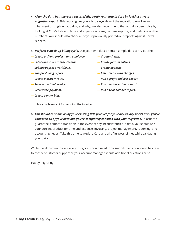- 4. *After the data has migrated successfully, verify your data in Core by looking at your migration report.* This report gives you a bird's eye view of the migration. You'll know
	- what went through, what didn't, and why. We also recommend that you do a deep-dive by looking at Core's lists and time and expense screens, running reports, and matching up the numbers. You should also check all of your previously printed-out reports against Core's reports.
	- 5. *Perform a mock-up billing cycle.* Use your own data or enter sample data to try out the
	- *— Create a client, project, and employee.*
	- *— Enter time and expense records.*
	- *— Submit/approve workflows.*
	- *— Run pre-billing reports.*
	- *— Create a draft invoice.*
	- *— Review the final invoice.*
	- *— Record the payment.*
	- *— Create vendor bills.*
- *— Create checks.*
- *— Create journal entries.*
- *— Create deposits.*
- *— Enter credit card charges.*
- *— Run a profit and loss report.*
- *— Run a balance sheet report.*
- *— Run a trial balance report.*

whole cycle except for sending the invoice:

6. *You should continue using your existing BQE product for your day-to-day needs until you've validated all of your data and you're completely satisfied with your migration.* In order to guarantee a smooth transition in the event of any inconsistencies in data, you should use your current product for time and expense, invoicing, project management, reporting, and accounting needs. Take this time to explore Core and all of its possibilities while validating your data.

While this document covers everything you should need for a smooth transition, don't hesitate to contact customer support or your account manager should additional questions arise.

Happy migrating!